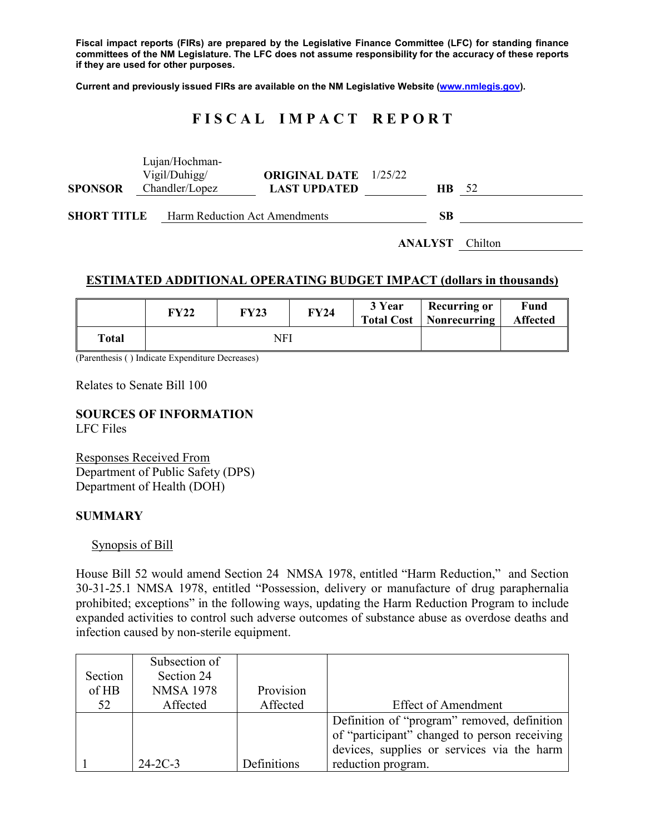**Fiscal impact reports (FIRs) are prepared by the Legislative Finance Committee (LFC) for standing finance committees of the NM Legislature. The LFC does not assume responsibility for the accuracy of these reports if they are used for other purposes.**

**Current and previously issued FIRs are available on the NM Legislative Website [\(www.nmlegis.gov\)](http://www.nmlegis.gov/).**

# **F I S C A L I M P A C T R E P O R T**

|                    |  | Lujan/Hochman-<br>Vigil/Duhigg/ | <b>ORIGINAL DATE</b> 1/25/22 |                |                |  |
|--------------------|--|---------------------------------|------------------------------|----------------|----------------|--|
| <b>SPONSOR</b>     |  | Chandler/Lopez                  | <b>LAST UPDATED</b>          | HB.            | -52            |  |
| <b>SHORT TITLE</b> |  | Harm Reduction Act Amendments   | SВ                           |                |                |  |
|                    |  |                                 |                              | <b>ANALYST</b> | <b>Chilton</b> |  |

## **ESTIMATED ADDITIONAL OPERATING BUDGET IMPACT (dollars in thousands)**

|       | <b>FY22</b> | <b>FY23</b> | <b>FY24</b> | 3 Year | <b>Recurring or</b><br><b>Total Cost   Nonrecurring</b> | Fund<br><b>Affected</b> |
|-------|-------------|-------------|-------------|--------|---------------------------------------------------------|-------------------------|
| Total | NFI         |             |             |        |                                                         |                         |

(Parenthesis ( ) Indicate Expenditure Decreases)

Relates to Senate Bill 100

#### **SOURCES OF INFORMATION** LFC Files

Responses Received From Department of Public Safety (DPS) Department of Health (DOH)

#### **SUMMARY**

Synopsis of Bill

House Bill 52 would amend Section 24 NMSA 1978, entitled "Harm Reduction," and Section 30-31-25.1 NMSA 1978, entitled "Possession, delivery or manufacture of drug paraphernalia prohibited; exceptions" in the following ways, updating the Harm Reduction Program to include expanded activities to control such adverse outcomes of substance abuse as overdose deaths and infection caused by non-sterile equipment.

| Section<br>of HB | Subsection of<br>Section 24<br><b>NMSA 1978</b> | Provision   |                                              |
|------------------|-------------------------------------------------|-------------|----------------------------------------------|
| 52               | Affected                                        | Affected    | Effect of Amendment                          |
|                  |                                                 |             | Definition of "program" removed, definition  |
|                  |                                                 |             | of "participant" changed to person receiving |
|                  |                                                 |             | devices, supplies or services via the harm   |
|                  | $24-2C-3$                                       | Definitions | reduction program.                           |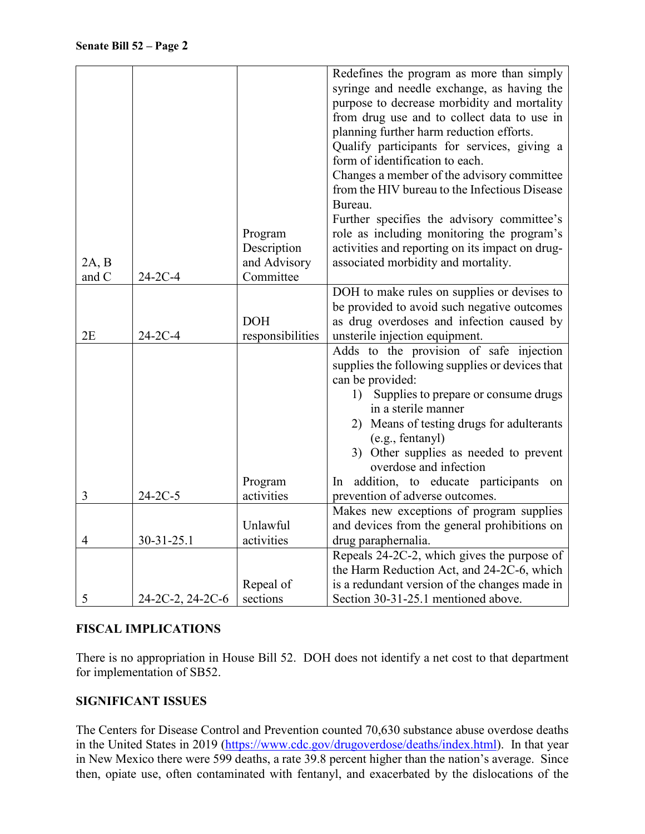|       |                  |                           | Redefines the program as more than simply                                                  |
|-------|------------------|---------------------------|--------------------------------------------------------------------------------------------|
|       |                  |                           | syringe and needle exchange, as having the                                                 |
|       |                  |                           | purpose to decrease morbidity and mortality                                                |
|       |                  |                           | from drug use and to collect data to use in                                                |
|       |                  |                           | planning further harm reduction efforts.                                                   |
|       |                  |                           | Qualify participants for services, giving a                                                |
|       |                  |                           | form of identification to each.                                                            |
|       |                  |                           | Changes a member of the advisory committee                                                 |
|       |                  |                           | from the HIV bureau to the Infectious Disease                                              |
|       |                  |                           | Bureau.                                                                                    |
|       |                  |                           | Further specifies the advisory committee's                                                 |
|       |                  | Program                   | role as including monitoring the program's                                                 |
|       |                  | Description               | activities and reporting on its impact on drug-                                            |
| 2A, B |                  | and Advisory<br>Committee | associated morbidity and mortality.                                                        |
| and C | $24-2C-4$        |                           |                                                                                            |
|       |                  |                           | DOH to make rules on supplies or devises to<br>be provided to avoid such negative outcomes |
|       |                  | <b>DOH</b>                | as drug overdoses and infection caused by                                                  |
| 2E    | $24-2C-4$        | responsibilities          | unsterile injection equipment.                                                             |
|       |                  |                           | Adds to the provision of safe injection                                                    |
|       |                  |                           | supplies the following supplies or devices that                                            |
|       |                  |                           | can be provided:                                                                           |
|       |                  |                           | Supplies to prepare or consume drugs<br>1)                                                 |
|       |                  |                           | in a sterile manner                                                                        |
|       |                  |                           | 2) Means of testing drugs for adulterants                                                  |
|       |                  |                           | (e.g., fentanyl)                                                                           |
|       |                  |                           | 3) Other supplies as needed to prevent                                                     |
|       |                  |                           | overdose and infection                                                                     |
|       |                  | Program                   | addition, to educate participants on<br>$\ln$                                              |
| 3     | $24-2C-5$        | activities                | prevention of adverse outcomes.                                                            |
|       |                  |                           | Makes new exceptions of program supplies                                                   |
|       |                  | Unlawful                  | and devices from the general prohibitions on                                               |
| 4     | 30-31-25.1       | activities                | drug paraphernalia.                                                                        |
|       |                  |                           | Repeals 24-2C-2, which gives the purpose of                                                |
|       |                  |                           | the Harm Reduction Act, and 24-2C-6, which                                                 |
|       |                  | Repeal of                 | is a redundant version of the changes made in                                              |
| 5     | 24-2C-2, 24-2C-6 | sections                  | Section 30-31-25.1 mentioned above.                                                        |

## **FISCAL IMPLICATIONS**

There is no appropriation in House Bill 52. DOH does not identify a net cost to that department for implementation of SB52.

## **SIGNIFICANT ISSUES**

The Centers for Disease Control and Prevention counted 70,630 substance abuse overdose deaths in the United States in 2019 [\(https://www.cdc.gov/drugoverdose/deaths/index.html\)](https://www.cdc.gov/drugoverdose/deaths/index.html). In that year in New Mexico there were 599 deaths, a rate 39.8 percent higher than the nation's average. Since then, opiate use, often contaminated with fentanyl, and exacerbated by the dislocations of the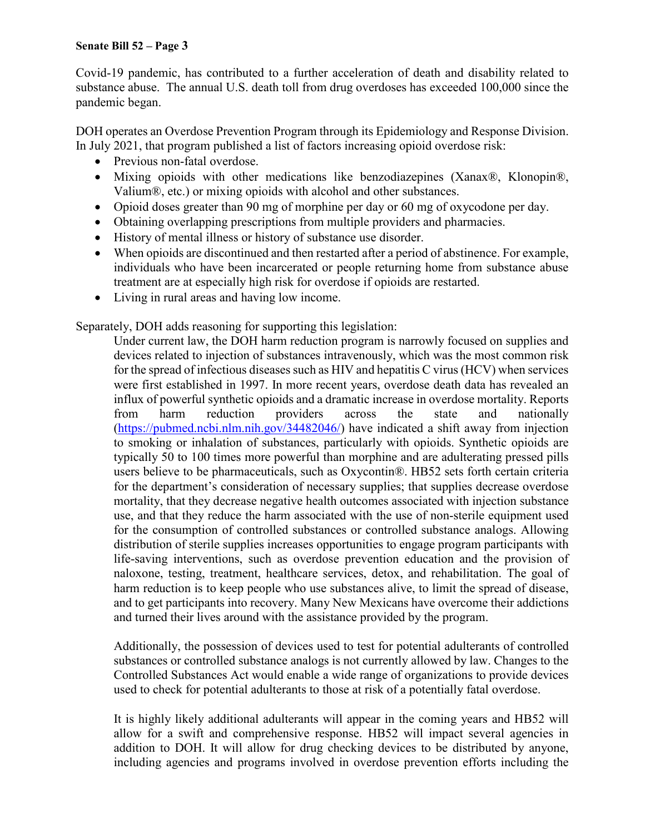## **Senate Bill 52 – Page 3**

Covid-19 pandemic, has contributed to a further acceleration of death and disability related to substance abuse. The annual U.S. death toll from drug overdoses has exceeded 100,000 since the pandemic began.

DOH operates an Overdose Prevention Program through its Epidemiology and Response Division. In July 2021, that program published a list of factors increasing opioid overdose risk:

- Previous non-fatal overdose.
- Mixing opioids with other medications like benzodiazepines (Xanax®, Klonopin®, Valium®, etc.) or mixing opioids with alcohol and other substances.
- Opioid doses greater than 90 mg of morphine per day or 60 mg of oxycodone per day.
- Obtaining overlapping prescriptions from multiple providers and pharmacies.
- History of mental illness or history of substance use disorder.
- When opioids are discontinued and then restarted after a period of abstinence. For example, individuals who have been incarcerated or people returning home from substance abuse treatment are at especially high risk for overdose if opioids are restarted.
- Living in rural areas and having low income.

Separately, DOH adds reasoning for supporting this legislation:

Under current law, the DOH harm reduction program is narrowly focused on supplies and devices related to injection of substances intravenously, which was the most common risk for the spread of infectious diseases such as HIV and hepatitis C virus (HCV) when services were first established in 1997. In more recent years, overdose death data has revealed an influx of powerful synthetic opioids and a dramatic increase in overdose mortality. Reports from harm reduction providers across the state and nationally [\(https://pubmed.ncbi.nlm.nih.gov/34482046/\)](https://pubmed.ncbi.nlm.nih.gov/34482046/) have indicated a shift away from injection to smoking or inhalation of substances, particularly with opioids. Synthetic opioids are typically 50 to 100 times more powerful than morphine and are adulterating pressed pills users believe to be pharmaceuticals, such as Oxycontin®. HB52 sets forth certain criteria for the department's consideration of necessary supplies; that supplies decrease overdose mortality, that they decrease negative health outcomes associated with injection substance use, and that they reduce the harm associated with the use of non-sterile equipment used for the consumption of controlled substances or controlled substance analogs. Allowing distribution of sterile supplies increases opportunities to engage program participants with life-saving interventions, such as overdose prevention education and the provision of naloxone, testing, treatment, healthcare services, detox, and rehabilitation. The goal of harm reduction is to keep people who use substances alive, to limit the spread of disease, and to get participants into recovery. Many New Mexicans have overcome their addictions and turned their lives around with the assistance provided by the program.

Additionally, the possession of devices used to test for potential adulterants of controlled substances or controlled substance analogs is not currently allowed by law. Changes to the Controlled Substances Act would enable a wide range of organizations to provide devices used to check for potential adulterants to those at risk of a potentially fatal overdose.

It is highly likely additional adulterants will appear in the coming years and HB52 will allow for a swift and comprehensive response. HB52 will impact several agencies in addition to DOH. It will allow for drug checking devices to be distributed by anyone, including agencies and programs involved in overdose prevention efforts including the